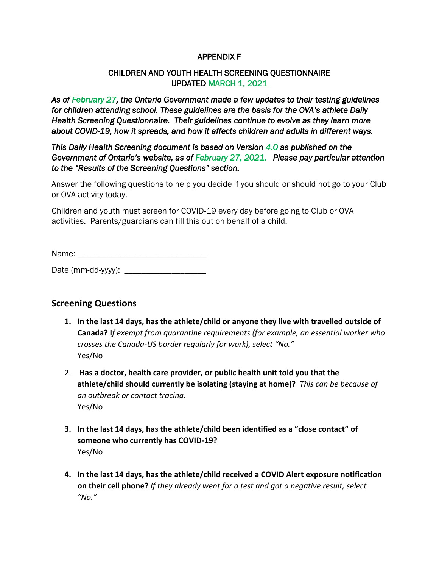### APPENDIX F

### CHILDREN AND YOUTH HEALTH SCREENING QUESTIONNAIRE UPDATED MARCH 1, 2021

*As of February 27, the Ontario Government made a few updates to their testing guidelines for children attending school. These guidelines are the basis for the OVA's athlete Daily Health Screening Questionnaire. Their guidelines continue to evolve as they learn more about COVID-19, how it spreads, and how it affects children and adults in different ways.* 

*This Daily Health Screening document is based on Version 4.0 as published on the Government of Ontario's website, as of February 27, 2021. Please pay particular attention to the "Results of the Screening Questions" section.* 

Answer the following questions to help you decide if you should or should not go to your Club or OVA activity today.

Children and youth must screen for COVID-19 every day before going to Club or OVA activities. Parents/guardians can fill this out on behalf of a child.

Name:  $\blacksquare$ 

Date (mm-dd-yyyy): \_\_\_\_\_\_\_\_\_\_\_\_\_\_\_\_\_\_\_

# **Screening Questions**

- **1. In the last 14 days, has the athlete/child or anyone they live with travelled outside of Canada? I***f exempt from quarantine requirements (for example, an essential worker who crosses the Canada-US border regularly for work), select "No."*  Yes/No
- 2. **Has a doctor, health care provider, or public health unit told you that the athlete/child should currently be isolating (staying at home)?** *This can be because of an outbreak or contact tracing.*  Yes/No
- **3. In the last 14 days, has the athlete/child been identified as a "close contact" of someone who currently has COVID-19?**  Yes/No
- **4. In the last 14 days, has the athlete/child received a COVID Alert exposure notification on their cell phone?** *If they already went for a test and got a negative result, select "No."*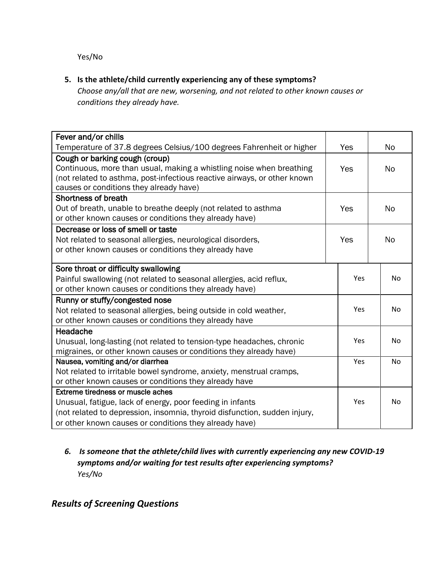Yes/No

### **5. Is the athlete/child currently experiencing any of these symptoms?**

*Choose any/all that are new, worsening, and not related to other known causes or conditions they already have.*

| Fever and/or chills                                                       |     |     |           |
|---------------------------------------------------------------------------|-----|-----|-----------|
| Temperature of 37.8 degrees Celsius/100 degrees Fahrenheit or higher      | Yes |     | <b>No</b> |
| Cough or barking cough (croup)                                            |     |     |           |
| Continuous, more than usual, making a whistling noise when breathing      | Yes |     | <b>No</b> |
| (not related to asthma, post-infectious reactive airways, or other known  |     |     |           |
| causes or conditions they already have)                                   |     |     |           |
| <b>Shortness of breath</b>                                                |     |     |           |
| Out of breath, unable to breathe deeply (not related to asthma            | Yes |     | <b>No</b> |
| or other known causes or conditions they already have)                    |     |     |           |
| Decrease or loss of smell or taste                                        |     |     |           |
| Not related to seasonal allergies, neurological disorders,                | Yes |     | <b>No</b> |
| or other known causes or conditions they already have                     |     |     |           |
|                                                                           |     |     |           |
| Sore throat or difficulty swallowing                                      |     |     |           |
| Painful swallowing (not related to seasonal allergies, acid reflux,       | Yes |     | No        |
| or other known causes or conditions they already have)                    |     |     |           |
| Runny or stuffy/congested nose                                            |     |     |           |
| Not related to seasonal allergies, being outside in cold weather,         | Yes |     | No        |
| or other known causes or conditions they already have                     |     |     |           |
| Headache                                                                  |     |     |           |
| Unusual, long-lasting (not related to tension-type headaches, chronic     |     | Yes | No        |
| migraines, or other known causes or conditions they already have)         |     |     |           |
| Nausea, vomiting and/or diarrhea                                          |     | Yes | No        |
| Not related to irritable bowel syndrome, anxiety, menstrual cramps,       |     |     |           |
| or other known causes or conditions they already have                     |     |     |           |
| <b>Extreme tiredness or muscle aches</b>                                  |     |     |           |
| Unusual, fatigue, lack of energy, poor feeding in infants                 |     | Yes | No        |
| (not related to depression, insomnia, thyroid disfunction, sudden injury, |     |     |           |
| or other known causes or conditions they already have)                    |     |     |           |

## *6. Is someone that the athlete/child lives with currently experiencing any new COVID-19 symptoms and/or waiting for test results after experiencing symptoms? Yes/No*

# *Results of Screening Questions*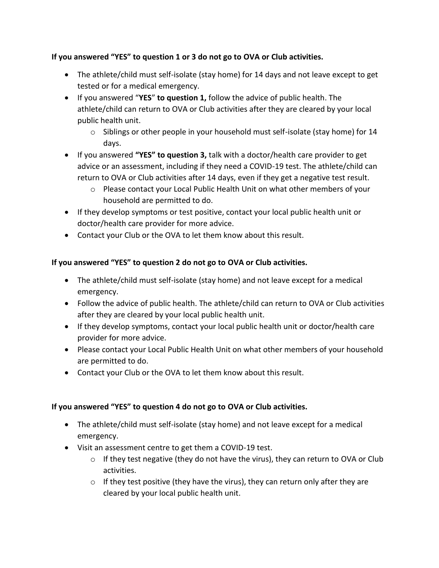### **If you answered "YES" to question 1 or 3 do not go to OVA or Club activities.**

- The athlete/child must self-isolate (stay home) for 14 days and not leave except to get tested or for a medical emergency.
- If you answered "**YES**" **to question 1,** follow the advice of public health. The athlete/child can return to OVA or Club activities after they are cleared by your local public health unit.
	- $\circ$  Siblings or other people in your household must self-isolate (stay home) for 14 days.
- If you answered **"YES" to question 3,** talk with a doctor/health care provider to get advice or an assessment, including if they need a COVID-19 test. The athlete/child can return to OVA or Club activities after 14 days, even if they get a negative test result.
	- o Please contact your Local Public Health Unit on what other members of your household are permitted to do.
- If they develop symptoms or test positive, contact your local public health unit or doctor/health care provider for more advice.
- Contact your Club or the OVA to let them know about this result.

### **If you answered "YES" to question 2 do not go to OVA or Club activities.**

- The athlete/child must self-isolate (stay home) and not leave except for a medical emergency.
- Follow the advice of public health. The athlete/child can return to OVA or Club activities after they are cleared by your local public health unit.
- If they develop symptoms, contact your local public health unit or doctor/health care provider for more advice.
- Please contact your Local Public Health Unit on what other members of your household are permitted to do.
- Contact your Club or the OVA to let them know about this result.

### **If you answered "YES" to question 4 do not go to OVA or Club activities.**

- The athlete/child must self-isolate (stay home) and not leave except for a medical emergency.
- Visit an assessment centre to get them a COVID-19 test.
	- $\circ$  If they test negative (they do not have the virus), they can return to OVA or Club activities.
	- $\circ$  If they test positive (they have the virus), they can return only after they are cleared by your local public health unit.